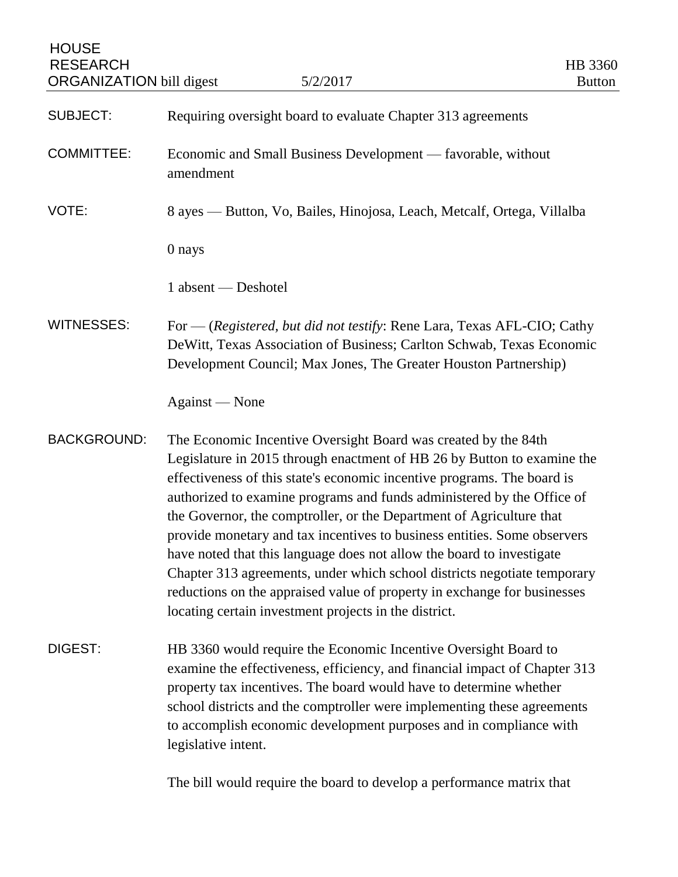**HOUSE** RESEARCH HB 3360 ORGANIZATION bill digest 5/2/2017 SUBJECT: Requiring oversight board to evaluate Chapter 313 agreements COMMITTEE: Economic and Small Business Development — favorable, without amendment VOTE: 8 ayes — Button, Vo, Bailes, Hinojosa, Leach, Metcalf, Ortega, Villalba 0 nays 1 absent — Deshotel WITNESSES: For — (*Registered, but did not testify*: Rene Lara, Texas AFL-CIO; Cathy DeWitt, Texas Association of Business; Carlton Schwab, Texas Economic Development Council; Max Jones, The Greater Houston Partnership) Against — None BACKGROUND: The Economic Incentive Oversight Board was created by the 84th Legislature in 2015 through enactment of HB 26 by Button to examine the effectiveness of this state's economic incentive programs. The board is authorized to examine programs and funds administered by the Office of the Governor, the comptroller, or the Department of Agriculture that provide monetary and tax incentives to business entities. Some observers have noted that this language does not allow the board to investigate Chapter 313 agreements, under which school districts negotiate temporary reductions on the appraised value of property in exchange for businesses locating certain investment projects in the district. DIGEST: HB 3360 would require the Economic Incentive Oversight Board to examine the effectiveness, efficiency, and financial impact of Chapter 313 property tax incentives. The board would have to determine whether school districts and the comptroller were implementing these agreements to accomplish economic development purposes and in compliance with legislative intent. The bill would require the board to develop a performance matrix that